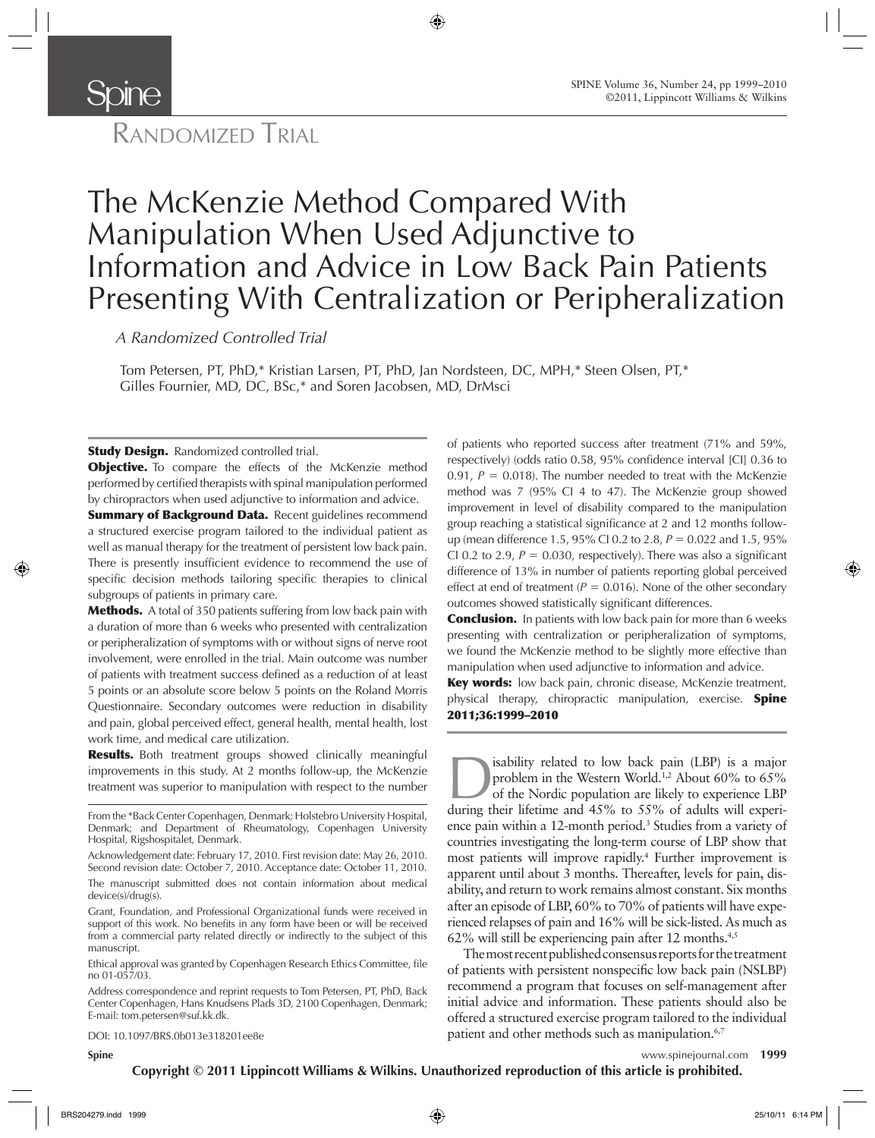

# RANDOMIZED TRIAL

# The McKenzie Method Compared With Manipulation When Used Adjunctive to Information and Advice in Low Back Pain Patients Presenting With Centralization or Peripheralization

*A Randomized Controlled Trial* 

Tom Petersen, PT, PhD,\* Kristian Larsen, PT, PhD, Jan Nordsteen, DC, MPH,\* Steen Olsen, PT,\* Gilles Fournier, MD, DC, BSc,\* and Soren Jacobsen, MD, DrMsci

**Study Design.** Randomized controlled trial.

**Objective.** To compare the effects of the McKenzie method performed by certified therapists with spinal manipulation performed by chiropractors when used adjunctive to information and advice.

**Summary of Background Data.** Recent guidelines recommend a structured exercise program tailored to the individual patient as well as manual therapy for the treatment of persistent low back pain. There is presently insufficient evidence to recommend the use of specific decision methods tailoring specific therapies to clinical subgroups of patients in primary care.

**Methods.** A total of 350 patients suffering from low back pain with a duration of more than 6 weeks who presented with centralization or peripheralization of symptoms with or without signs of nerve root involvement, were enrolled in the trial. Main outcome was number of patients with treatment success defined as a reduction of at least 5 points or an absolute score below 5 points on the Roland Morris Questionnaire. Secondary outcomes were reduction in disability and pain, global perceived effect, general health, mental health, lost work time, and medical care utilization.

Results. Both treatment groups showed clinically meaningful improvements in this study. At 2 months follow-up, the McKenzie

From the \*Back Center Copenhagen, Denmark; Holstebro University Hospital, Denmark; and Department of Rheumatology, Copenhagen University Hospital, Rigshospitalet, Denmark.

Acknowledgement date: February 17, 2010. First revision date: May 26, 2010. Second revision date: October 7, 2010. Acceptance date: October 11, 2010. The manuscript submitted does not contain information about medical device(s)/drug(s).

Grant, Foundation, and Professional Organizational funds were received in support of this work. No benefits in any form have been or will be received from a commercial party related directly or indirectly to the subject of this manuscript.

Ethical approval was granted by Copenhagen Research Ethics Committee, file no 01-057/03.

Address correspondence and reprint requests to Tom Petersen, PT, PhD, Back Center Copenhagen, Hans Knudsens Plads 3D, 2100 Copenhagen, Denmark; E-mail: tom.petersen@suf.kk.dk.

DOI: 10.1097/BRS.0b013e318201ee8e

of patients who reported success after treatment (71% and 59%, respectively) (odds ratio 0.58, 95% confidence interval [CI] 0.36 to 0.91,  $P = 0.018$ ). The number needed to treat with the McKenzie method was 7 (95% CI 4 to 47). The McKenzie group showed improvement in level of disability compared to the manipulation group reaching a statistical significance at 2 and 12 months followup (mean difference 1.5, 95% CI 0.2 to 2.8, *P* = 0.022 and 1.5, 95% CI 0.2 to 2.9,  $P = 0.030$ , respectively). There was also a significant difference of 13% in number of patients reporting global perceived effect at end of treatment ( $P = 0.016$ ). None of the other secondary outcomes showed statistically significant differences.

**Conclusion.** In patients with low back pain for more than 6 weeks presenting with centralization or peripheralization of symptoms, we found the McKenzie method to be slightly more effective than manipulation when used adjunctive to information and advice.

Key words: low back pain, chronic disease, McKenzie treatment, physical therapy, chiropractic manipulation, exercise. **Spine** 2011 ; 36 : 1999 – 2010

treatment was superior to manipulation with respect to the number<br>during their lifetime and 45% to 55% of adults will experience LBP<br>during their lifetime and 45% to 55% of adults will experience problem in the Western World.<sup>1,2</sup> About 60% to 65% of the Nordic population are likely to experience LBP during their lifetime and 45% to 55% of adults will experience pain within a 12-month period.<sup>3</sup> Studies from a variety of countries investigating the long-term course of LBP show that most patients will improve rapidly.<sup>4</sup> Further improvement is apparent until about 3 months. Thereafter, levels for pain, disability, and return to work remains almost constant. Six months after an episode of LBP, 60% to 70% of patients will have experienced relapses of pain and 16% will be sick-listed. As much as 62% will still be experiencing pain after 12 months. $4,5$ 

> The most recent published consensus reports for the treatment of patients with persistent nonspecific low back pain (NSLBP) recommend a program that focuses on self-management after initial advice and information. These patients should also be offered a structured exercise program tailored to the individual patient and other methods such as manipulation.<sup>6,7</sup>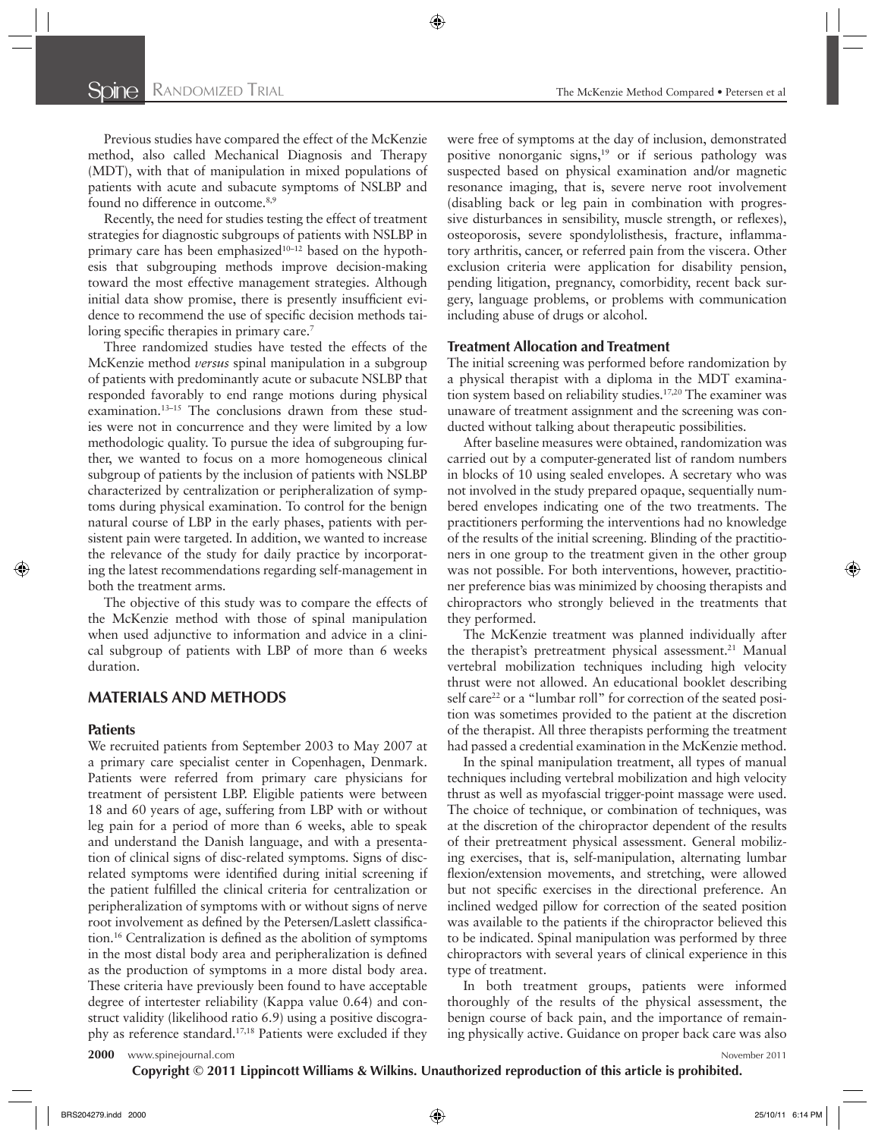Previous studies have compared the effect of the McKenzie method, also called Mechanical Diagnosis and Therapy (MDT), with that of manipulation in mixed populations of patients with acute and subacute symptoms of NSLBP and found no difference in outcome.<sup>8,9</sup>

Recently, the need for studies testing the effect of treatment strategies for diagnostic subgroups of patients with NSLBP in primary care has been emphasized $10-12$  based on the hypothesis that subgrouping methods improve decision-making toward the most effective management strategies. Although initial data show promise, there is presently insufficient evidence to recommend the use of specific decision methods tailoring specific therapies in primary care.<sup>7</sup>

Three randomized studies have tested the effects of the McKenzie method *versus* spinal manipulation in a subgroup of patients with predominantly acute or subacute NSLBP that responded favorably to end range motions during physical examination.<sup>13-15</sup> The conclusions drawn from these studies were not in concurrence and they were limited by a low methodologic quality. To pursue the idea of subgrouping further, we wanted to focus on a more homogeneous clinical subgroup of patients by the inclusion of patients with NSLBP characterized by centralization or peripheralization of symptoms during physical examination. To control for the benign natural course of LBP in the early phases, patients with persistent pain were targeted. In addition, we wanted to increase the relevance of the study for daily practice by incorporating the latest recommendations regarding self-management in both the treatment arms.

The objective of this study was to compare the effects of the McKenzie method with those of spinal manipulation when used adjunctive to information and advice in a clinical subgroup of patients with LBP of more than 6 weeks duration.

## **MATERIALS AND METHODS**

### **Patients**

We recruited patients from September 2003 to May 2007 at a primary care specialist center in Copenhagen, Denmark. Patients were referred from primary care physicians for treatment of persistent LBP. Eligible patients were between 18 and 60 years of age, suffering from LBP with or without leg pain for a period of more than 6 weeks, able to speak and understand the Danish language, and with a presentation of clinical signs of disc-related symptoms. Signs of discrelated symptoms were identified during initial screening if the patient fulfilled the clinical criteria for centralization or peripheralization of symptoms with or without signs of nerve root involvement as defined by the Petersen/Laslett classification.<sup>16</sup> Centralization is defined as the abolition of symptoms in the most distal body area and peripheralization is defined as the production of symptoms in a more distal body area. These criteria have previously been found to have acceptable degree of intertester reliability (Kappa value 0.64) and construct validity (likelihood ratio 6.9) using a positive discography as reference standard.<sup>17,18</sup> Patients were excluded if they were free of symptoms at the day of inclusion, demonstrated positive nonorganic signs, $19$  or if serious pathology was suspected based on physical examination and/or magnetic resonance imaging, that is, severe nerve root involvement (disabling back or leg pain in combination with progressive disturbances in sensibility, muscle strength, or reflexes), osteoporosis, severe spondylolisthesis, fracture, inflammatory arthritis, cancer, or referred pain from the viscera. Other exclusion criteria were application for disability pension, pending litigation, pregnancy, comorbidity, recent back surgery, language problems, or problems with communication including abuse of drugs or alcohol.

#### **Treatment Allocation and Treatment**

The initial screening was performed before randomization by a physical therapist with a diploma in the MDT examination system based on reliability studies.<sup>17,20</sup> The examiner was unaware of treatment assignment and the screening was conducted without talking about therapeutic possibilities.

After baseline measures were obtained, randomization was carried out by a computer-generated list of random numbers in blocks of 10 using sealed envelopes. A secretary who was not involved in the study prepared opaque, sequentially numbered envelopes indicating one of the two treatments. The practitioners performing the interventions had no knowledge of the results of the initial screening. Blinding of the practitioners in one group to the treatment given in the other group was not possible. For both interventions, however, practitioner preference bias was minimized by choosing therapists and chiropractors who strongly believed in the treatments that they performed.

The McKenzie treatment was planned individually after the therapist's pretreatment physical assessment.<sup>21</sup> Manual vertebral mobilization techniques including high velocity thrust were not allowed. An educational booklet describing self care<sup>22</sup> or a "lumbar roll" for correction of the seated position was sometimes provided to the patient at the discretion of the therapist. All three therapists performing the treatment had passed a credential examination in the McKenzie method.

In the spinal manipulation treatment, all types of manual techniques including vertebral mobilization and high velocity thrust as well as myofascial trigger-point massage were used. The choice of technique, or combination of techniques, was at the discretion of the chiropractor dependent of the results of their pretreatment physical assessment. General mobilizing exercises, that is, self-manipulation, alternating lumbar flexion/extension movements, and stretching, were allowed but not specific exercises in the directional preference. An inclined wedged pillow for correction of the seated position was available to the patients if the chiropractor believed this to be indicated. Spinal manipulation was performed by three chiropractors with several years of clinical experience in this type of treatment.

In both treatment groups, patients were informed thoroughly of the results of the physical assessment, the benign course of back pain, and the importance of remaining physically active. Guidance on proper back care was also

**2000** www.spinejournal.com November 2011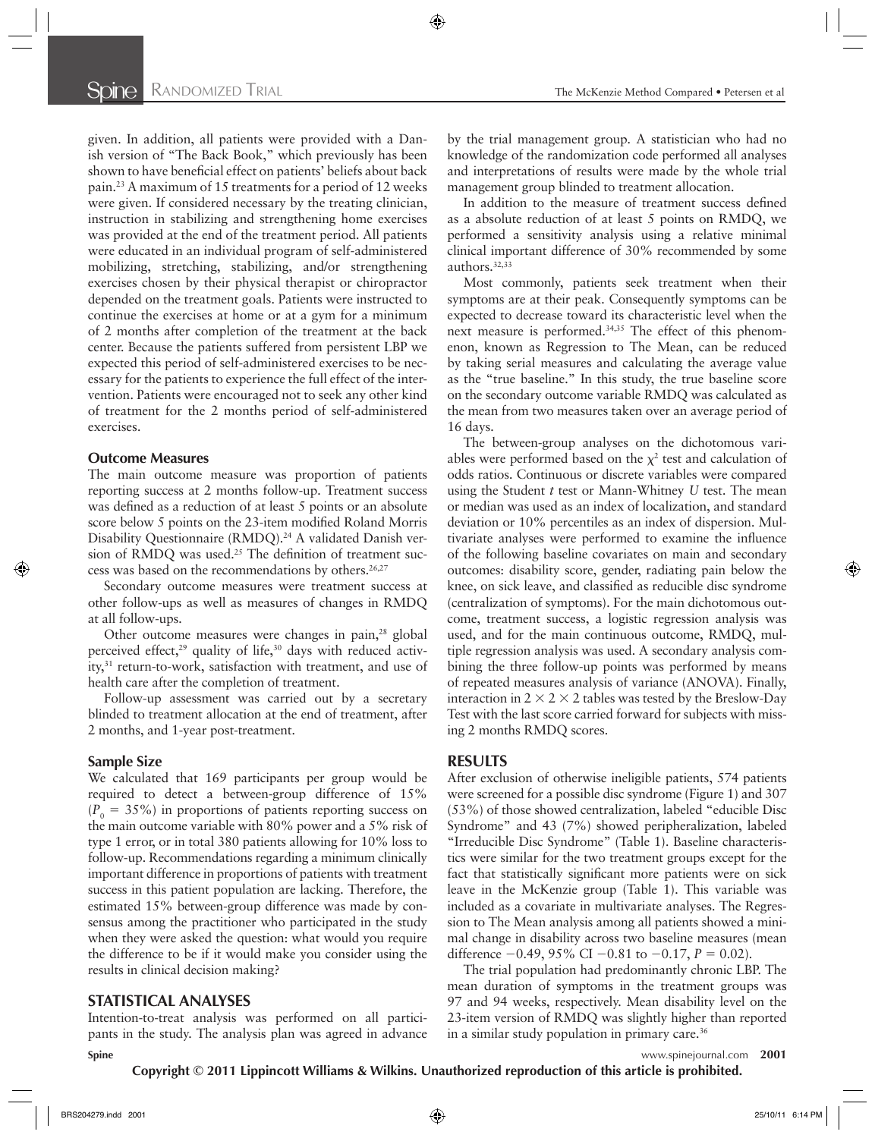given. In addition, all patients were provided with a Danish version of "The Back Book," which previously has been shown to have beneficial effect on patients' beliefs about back pain. 23 A maximum of 15 treatments for a period of 12 weeks were given. If considered necessary by the treating clinician, instruction in stabilizing and strengthening home exercises was provided at the end of the treatment period. All patients were educated in an individual program of self-administered mobilizing, stretching, stabilizing, and/or strengthening exercises chosen by their physical therapist or chiropractor depended on the treatment goals. Patients were instructed to continue the exercises at home or at a gym for a minimum of 2 months after completion of the treatment at the back center. Because the patients suffered from persistent LBP we expected this period of self-administered exercises to be necessary for the patients to experience the full effect of the intervention. Patients were encouraged not to seek any other kind of treatment for the 2 months period of self-administered exercises.

#### **Outcome Measures**

The main outcome measure was proportion of patients reporting success at 2 months follow-up. Treatment success was defined as a reduction of at least 5 points or an absolute score below 5 points on the 23-item modified Roland Morris Disability Questionnaire (RMDQ).<sup>24</sup> A validated Danish version of RMDQ was used.<sup>25</sup> The definition of treatment success was based on the recommendations by others.<sup>26,27</sup>

Secondary outcome measures were treatment success at other follow-ups as well as measures of changes in RMDQ at all follow-ups.

Other outcome measures were changes in pain,<sup>28</sup> global perceived effect, $29$  quality of life, $30$  days with reduced activity,<sup>31</sup> return-to-work, satisfaction with treatment, and use of health care after the completion of treatment.

Follow-up assessment was carried out by a secretary blinded to treatment allocation at the end of treatment, after 2 months, and 1-year post-treatment.

#### **Sample Size**

We calculated that 169 participants per group would be required to detect a between-group difference of 15%  $(P<sub>0</sub> = 35%)$  in proportions of patients reporting success on the main outcome variable with 80% power and a 5% risk of type 1 error, or in total 380 patients allowing for 10% loss to follow-up. Recommendations regarding a minimum clinically important difference in proportions of patients with treatment success in this patient population are lacking. Therefore, the estimated 15% between-group difference was made by consensus among the practitioner who participated in the study when they were asked the question: what would you require the difference to be if it would make you consider using the results in clinical decision making?

#### **STATISTICAL ANALYSES**

**Spine** www.spinejournal.com **2001** Intention-to-treat analysis was performed on all participants in the study. The analysis plan was agreed in advance

by the trial management group. A statistician who had no knowledge of the randomization code performed all analyses and interpretations of results were made by the whole trial management group blinded to treatment allocation.

In addition to the measure of treatment success defined as a absolute reduction of at least 5 points on RMDQ, we performed a sensitivity analysis using a relative minimal clinical important difference of 30% recommended by some authors.<sup>32,33</sup>

Most commonly, patients seek treatment when their symptoms are at their peak. Consequently symptoms can be expected to decrease toward its characteristic level when the next measure is performed.<sup>34,35</sup> The effect of this phenomenon, known as Regression to The Mean, can be reduced by taking serial measures and calculating the average value as the "true baseline." In this study, the true baseline score on the secondary outcome variable RMDQ was calculated as the mean from two measures taken over an average period of 16 days.

The between-group analyses on the dichotomous variables were performed based on the  $\chi^2$  test and calculation of odds ratios. Continuous or discrete variables were compared using the Student *t* test or Mann-Whitney *U* test. The mean or median was used as an index of localization, and standard deviation or 10% percentiles as an index of dispersion. Multivariate analyses were performed to examine the influence of the following baseline covariates on main and secondary outcomes: disability score, gender, radiating pain below the knee, on sick leave, and classified as reducible disc syndrome (centralization of symptoms). For the main dichotomous outcome, treatment success, a logistic regression analysis was used, and for the main continuous outcome, RMDQ, multiple regression analysis was used. A secondary analysis combining the three follow-up points was performed by means of repeated measures analysis of variance (ANOVA). Finally, interaction in  $2 \times 2 \times 2$  tables was tested by the Breslow-Day Test with the last score carried forward for subjects with missing 2 months RMDQ scores.

#### **RESULTS**

After exclusion of otherwise ineligible patients, 574 patients were screened for a possible disc syndrome (Figure 1) and 307 (53%) of those showed centralization, labeled "educible Disc Syndrome" and 43 (7%) showed peripheralization, labeled "Irreducible Disc Syndrome" (Table 1). Baseline characteristics were similar for the two treatment groups except for the fact that statistically significant more patients were on sick leave in the McKenzie group (Table 1). This variable was included as a covariate in multivariate analyses. The Regression to The Mean analysis among all patients showed a minimal change in disability across two baseline measures (mean difference −0.49, 95% CI −0.81 to −0.17, *P* = 0.02).

The trial population had predominantly chronic LBP. The mean duration of symptoms in the treatment groups was 97 and 94 weeks, respectively. Mean disability level on the 23-item version of RMDQ was slightly higher than reported in a similar study population in primary care. 36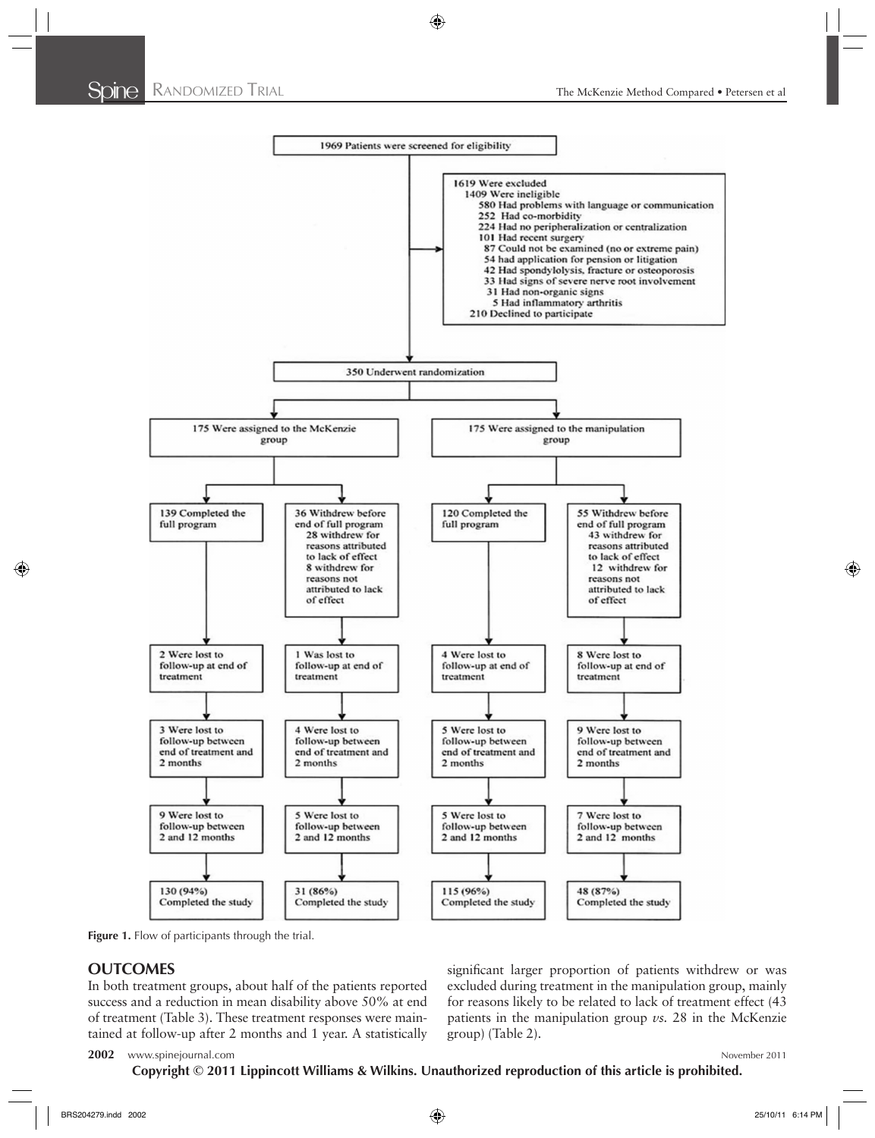

Figure 1. Flow of participants through the trial.

# **OUTCOMES**

In both treatment groups, about half of the patients reported success and a reduction in mean disability above 50% at end of treatment (Table 3). These treatment responses were maintained at follow-up after 2 months and 1 year. A statistically significant larger proportion of patients withdrew or was excluded during treatment in the manipulation group, mainly for reasons likely to be related to lack of treatment effect (43 patients in the manipulation group *vs.* 28 in the McKenzie group) (Table 2).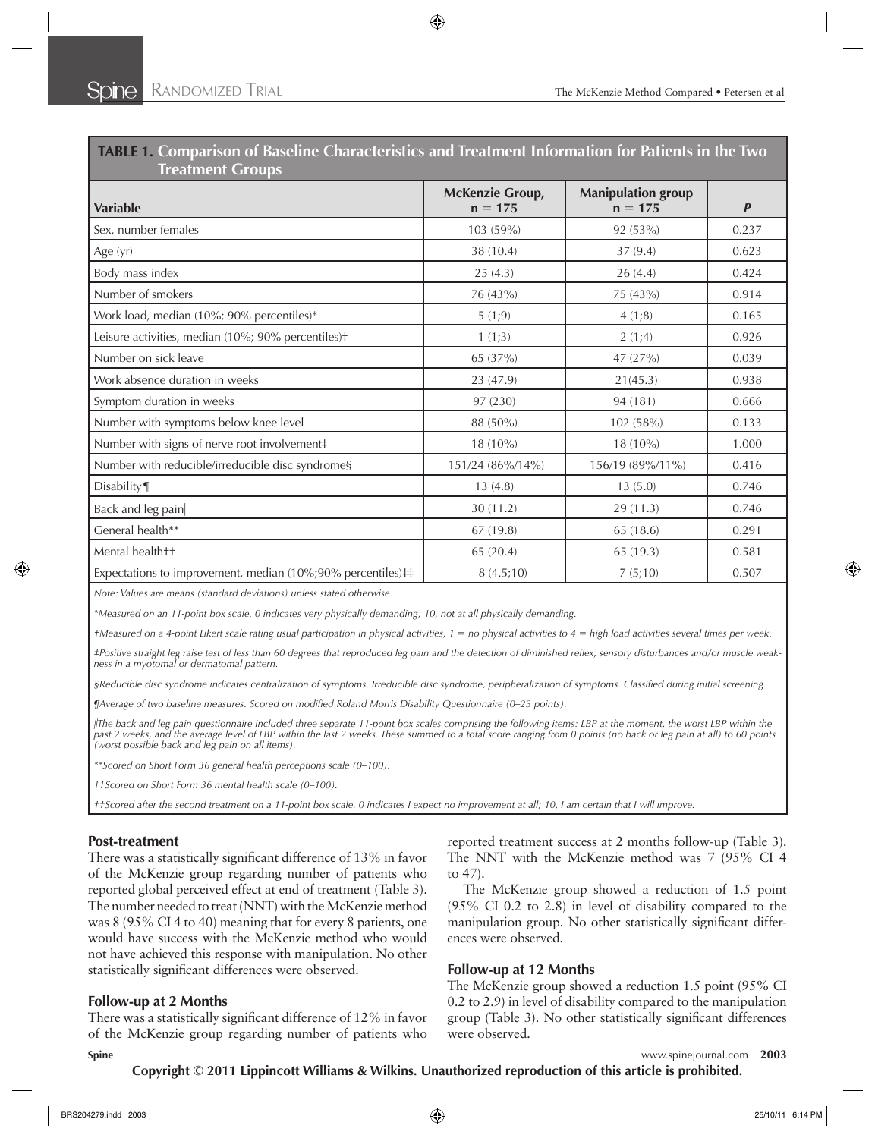| <b>Treatment Groups</b>                                     |                                     |                                        |                  |
|-------------------------------------------------------------|-------------------------------------|----------------------------------------|------------------|
| <b>Variable</b>                                             | <b>McKenzie Group,</b><br>$n = 175$ | <b>Manipulation group</b><br>$n = 175$ | $\boldsymbol{P}$ |
| Sex, number females                                         | 103 (59%)                           | 92 (53%)                               | 0.237            |
| Age (yr)                                                    | 38 (10.4)                           | 37(9.4)                                | 0.623            |
| Body mass index                                             | 25(4.3)                             | 26(4.4)                                | 0.424            |
| Number of smokers                                           | 76 (43%)                            | 75 (43%)                               | 0.914            |
| Work load, median (10%; 90% percentiles)*                   | 5(1,9)                              | 4(1;8)                                 | 0.165            |
| Leisure activities, median (10%; 90% percentiles)+          | 1(1;3)                              | 2(1,4)                                 | 0.926            |
| Number on sick leave                                        | 65 (37%)                            | 47(27%)                                | 0.039            |
| Work absence duration in weeks                              | 23 (47.9)                           | 21(45.3)                               | 0.938            |
| Symptom duration in weeks                                   | 97 (230)                            | 94 (181)                               | 0.666            |
| Number with symptoms below knee level                       | 88 (50%)                            | 102 (58%)                              | 0.133            |
| Number with signs of nerve root involvement#                | 18 (10%)                            | 18 (10%)                               | 1.000            |
| Number with reducible/irreducible disc syndrome§            | 151/24 (86%/14%)                    | 156/19 (89%/11%)                       | 0.416            |
| Disability                                                  | 13(4.8)                             | 13(5.0)                                | 0.746            |
| Back and leg pain                                           | 30 (11.2)                           | 29 (11.3)                              | 0.746            |
| General health**                                            | 67(19.8)                            | 65 (18.6)                              | 0.291            |
| Mental health++                                             | 65 (20.4)                           | 65 (19.3)                              | 0.581            |
| Expectations to improvement, median (10%;90% percentiles)## | 8(4.5;10)                           | 7(5;10)                                | 0.507            |

**TABLE 1. Comparison of Baseline Characteristics and Treatment Information for Patients in the Two** 

*Note: Values are means (standard deviations) unless stated otherwise.* 

*\*Measured on an 11-point box scale. 0 indicates very physically demanding; 10, not at all physically demanding.* 

*†Measured on a 4-point Likert scale rating usual participation in physical activities, 1* = *no physical activities to 4* = *high load activities several times per week.* 

*‡Positive straight leg raise test of less than 60 degrees that reproduced leg pain and the detection of diminished refl ex, sensory disturbances and/or muscle weakness in a myotomal or dermatomal pattern.* 

§Reducible disc syndrome indicates centralization of symptoms. Irreducible disc syndrome, peripheralization of symptoms. Classified during initial screening.

*¶Average of two baseline measures. Scored on modified Roland Morris Disability Questionnaire (0–23 points).* 

*The back and leg pain questionnaire included three separate 11-point box scales comprising the following items: LBP at the moment, the worst LBP within the past 2 weeks, and the average level of LBP within the last 2 weeks. These summed to a total score ranging from 0 points (no back or leg pain at all) to 60 points (worst possible back and leg pain on all items).* 

*\*\*Scored on Short Form 36 general health perceptions scale (0–100).* 

*††Scored on Short Form 36 mental health scale (0–100).* 

*‡‡Scored after the second treatment on a 11-point box scale. 0 indicates I expect no improvement at all; 10, I am certain that I will improve.* 

### **Post-treatment**

There was a statistically significant difference of 13% in favor of the McKenzie group regarding number of patients who reported global perceived effect at end of treatment (Table 3). The number needed to treat (NNT) with the McKenzie method was 8 (95% CI 4 to 40) meaning that for every 8 patients, one would have success with the McKenzie method who would not have achieved this response with manipulation. No other statistically significant differences were observed.

### **Follow-up at 2 Months**

There was a statistically significant difference of 12% in favor of the McKenzie group regarding number of patients who

reported treatment success at 2 months follow-up (Table 3). The NNT with the McKenzie method was 7 (95% CI 4 to 47).

The McKenzie group showed a reduction of 1.5 point (95% CI 0.2 to 2.8) in level of disability compared to the manipulation group. No other statistically significant differences were observed.

### **Follow-up at 12 Months**

The McKenzie group showed a reduction 1.5 point (95% CI 0.2 to 2.9) in level of disability compared to the manipulation group (Table 3). No other statistically significant differences were observed.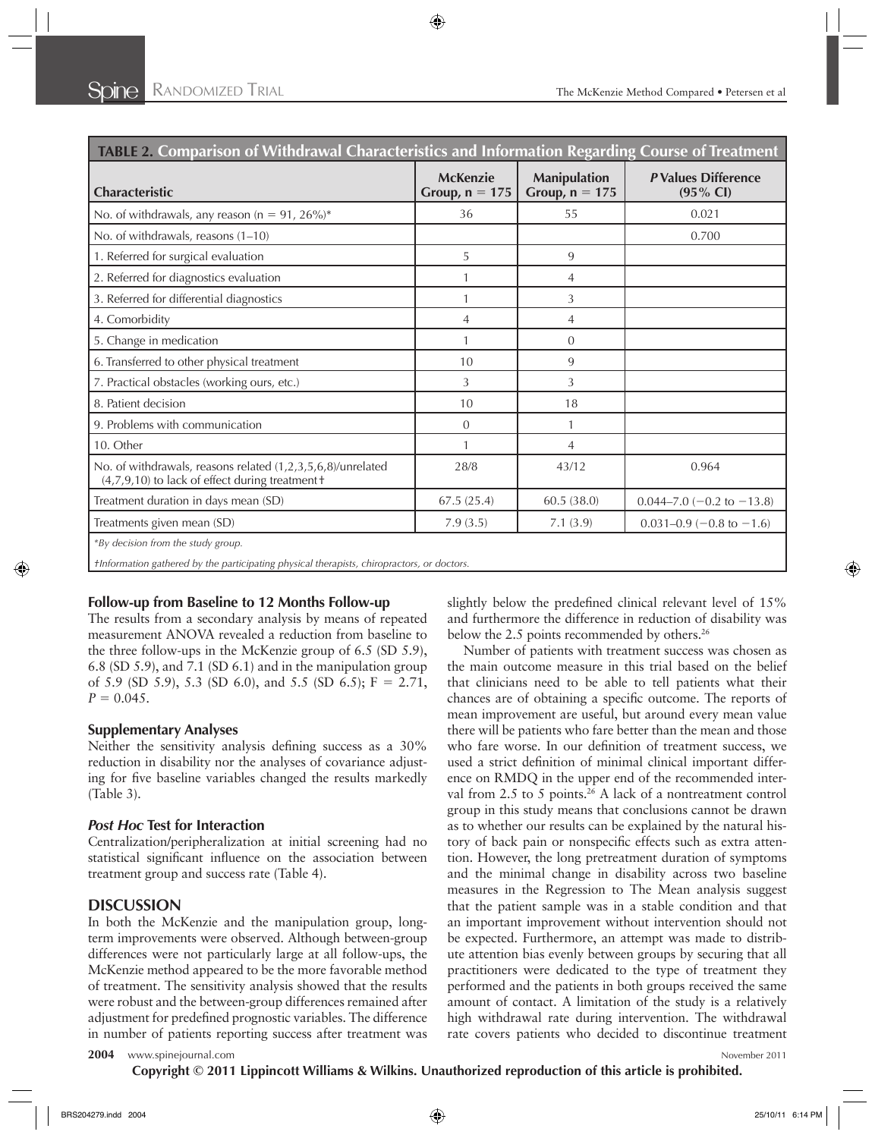| <b>TABLE 2. Comparison of Withdrawal Characteristics and Information Regarding Course of Treatment</b>                           |                                     |                                         |                                            |
|----------------------------------------------------------------------------------------------------------------------------------|-------------------------------------|-----------------------------------------|--------------------------------------------|
| Characteristic                                                                                                                   | <b>McKenzie</b><br>Group, $n = 175$ | <b>Manipulation</b><br>Group, $n = 175$ | P Values Difference<br>$(95\% \text{ Cl})$ |
| No. of withdrawals, any reason ( $n = 91$ , 26%)*                                                                                | 36                                  | 55                                      | 0.021                                      |
| No. of withdrawals, reasons (1-10)                                                                                               |                                     |                                         | 0.700                                      |
| 1. Referred for surgical evaluation                                                                                              | 5                                   | 9                                       |                                            |
| 2. Referred for diagnostics evaluation                                                                                           | 1                                   | 4                                       |                                            |
| 3. Referred for differential diagnostics                                                                                         | 1                                   | 3                                       |                                            |
| 4. Comorbidity                                                                                                                   | $\overline{4}$                      | $\overline{4}$                          |                                            |
| 5. Change in medication                                                                                                          | $\mathbf{1}$                        | $\Omega$                                |                                            |
| 6. Transferred to other physical treatment                                                                                       | 10                                  | 9                                       |                                            |
| 7. Practical obstacles (working ours, etc.)                                                                                      | 3                                   | 3                                       |                                            |
| 8. Patient decision                                                                                                              | 10                                  | 18                                      |                                            |
| 9. Problems with communication                                                                                                   | $\theta$                            |                                         |                                            |
| 10. Other                                                                                                                        | $\mathbf{1}$                        | 4                                       |                                            |
| No. of withdrawals, reasons related (1,2,3,5,6,8)/unrelated<br>(4,7,9,10) to lack of effect during treatment +                   | 28/8                                | 43/12                                   | 0.964                                      |
| Treatment duration in days mean (SD)                                                                                             | 67.5(25.4)                          | 60.5 (38.0)                             | $0.044 - 7.0 (-0.2$ to $-13.8)$            |
| Treatments given mean (SD)                                                                                                       | 7.9(3.5)                            | 7.1(3.9)                                | $0.031 - 0.9$ (-0.8 to -1.6)               |
| *By decision from the study group.<br>flnformation gathered by the participating physical therapists, chiropractors, or doctors. |                                     |                                         |                                            |

### **Follow-up from Baseline to 12 Months Follow-up**

The results from a secondary analysis by means of repeated measurement ANOVA revealed a reduction from baseline to the three follow-ups in the McKenzie group of 6.5 (SD 5.9), 6.8 (SD 5.9), and 7.1 (SD 6.1) and in the manipulation group of 5.9 (SD 5.9), 5.3 (SD 6.0), and 5.5 (SD 6.5); F = 2.71,  $P = 0.045$ .

### **Supplementary Analyses**

Neither the sensitivity analysis defining success as a  $30\%$ reduction in disability nor the analyses of covariance adjusting for five baseline variables changed the results markedly  $(Table 3)$ .

# *Post Hoc* **Test for Interaction**

Centralization/peripheralization at initial screening had no statistical significant influence on the association between treatment group and success rate (Table 4).

# **DISCUSSION**

In both the McKenzie and the manipulation group, longterm improvements were observed. Although between-group differences were not particularly large at all follow-ups, the McKenzie method appeared to be the more favorable method of treatment. The sensitivity analysis showed that the results were robust and the between-group differences remained after adjustment for predefined prognostic variables. The difference in number of patients reporting success after treatment was

slightly below the predefined clinical relevant level of 15% and furthermore the difference in reduction of disability was below the 2.5 points recommended by others.<sup>26</sup>

Number of patients with treatment success was chosen as the main outcome measure in this trial based on the belief that clinicians need to be able to tell patients what their chances are of obtaining a specific outcome. The reports of mean improvement are useful, but around every mean value there will be patients who fare better than the mean and those who fare worse. In our definition of treatment success, we used a strict definition of minimal clinical important difference on RMDQ in the upper end of the recommended interval from 2.5 to 5 points.<sup>26</sup> A lack of a nontreatment control group in this study means that conclusions cannot be drawn as to whether our results can be explained by the natural history of back pain or nonspecific effects such as extra attention. However, the long pretreatment duration of symptoms and the minimal change in disability across two baseline measures in the Regression to The Mean analysis suggest that the patient sample was in a stable condition and that an important improvement without intervention should not be expected. Furthermore, an attempt was made to distribute attention bias evenly between groups by securing that all practitioners were dedicated to the type of treatment they performed and the patients in both groups received the same amount of contact. A limitation of the study is a relatively high withdrawal rate during intervention. The withdrawal rate covers patients who decided to discontinue treatment

```
2004 www.spinejournal.com November 2011 November 2011
```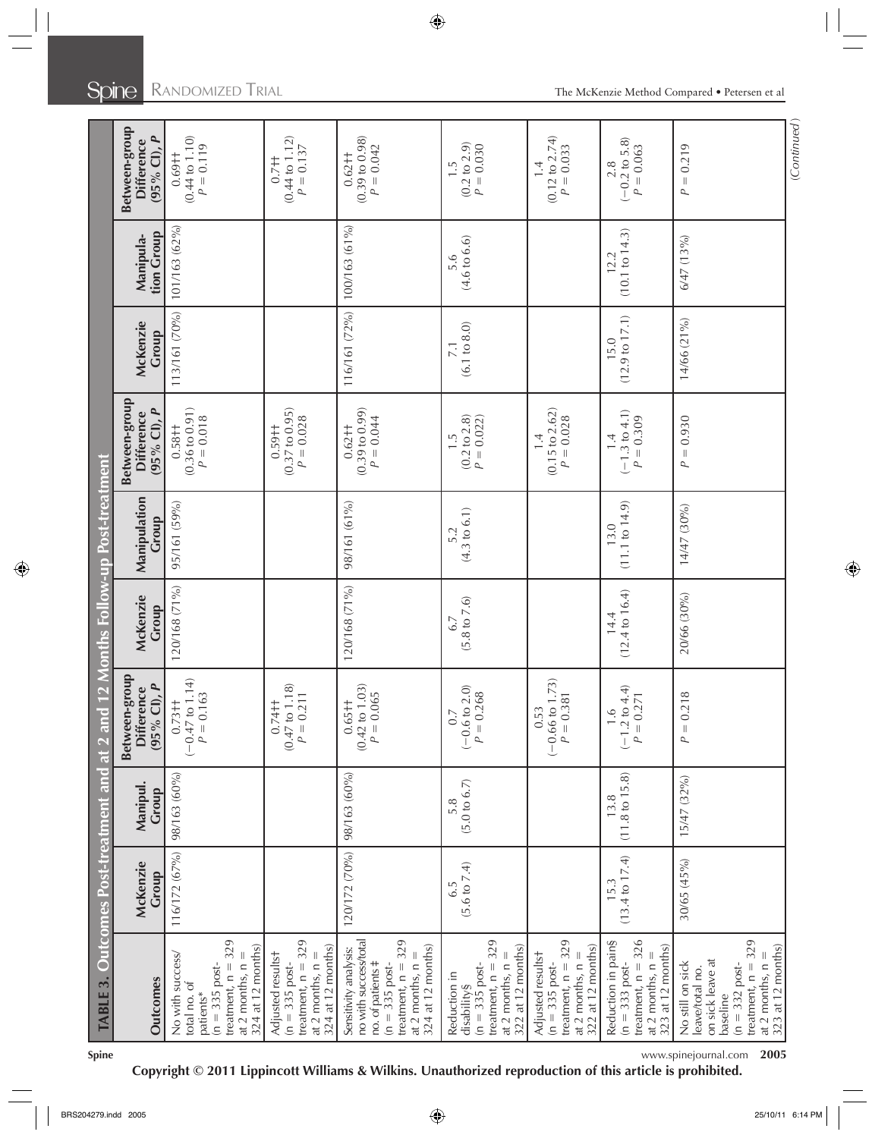|                                                                                                                                                                    |                                   |                                   | TABLE 3. Outcomes Post-treatment and at 2 and 12 Months Follow-up Post-treatment |                                   |                                |                                                           |                                   |                         |                                                           |
|--------------------------------------------------------------------------------------------------------------------------------------------------------------------|-----------------------------------|-----------------------------------|----------------------------------------------------------------------------------|-----------------------------------|--------------------------------|-----------------------------------------------------------|-----------------------------------|-------------------------|-----------------------------------------------------------|
| Outcomes                                                                                                                                                           | McKenzie<br>Group                 | Manipul.<br>Group                 | Between-group<br>$(95%$ CI), $P$<br><b>Difference</b>                            | McKenzie<br>Group                 | Manipulation<br>Group          | Between-group<br>$(95%$ Cl), $P$<br><b>Difference</b>     | McKenzie<br>Group                 | tion Group<br>Manipula- | Between-group<br>$(95%$ CI), $P$<br><b>Difference</b>     |
| treatment, $n = 329$<br>324 at 12 months)<br>No with success/<br>at 2 months, $n =$<br>$(n = 335 \text{ post} -$<br>total no. of<br>patients*                      | 116/172 (67%)                     | 98/163 (60%)                      | $(-0.47 \text{ to } 1.14)$<br>$P = 0.163$<br>$0.73 +$                            | 120/168 (71%)                     | 95/161 (59%)                   | $(0.36 \text{ to } 0.91)$<br>$P = 0.018$<br>$0.58 + 1$    | 113/161 (70%)                     | 101/163 (62%)           | $(0.44 \text{ to } 1.10)$<br>$P = 0.119$<br>$0.69 +$      |
| treatment, $n = 329$<br>324 at 12 months)<br>Adjusted resultst<br>at 2 months, $n =$<br>$(n = 335$ post-                                                           |                                   |                                   | $(0.47 \text{ to } 1.18)$<br>$P = 0.211$<br>$0.74 +$                             |                                   |                                | (0.37 to 0.95)<br>$P = 0.028$<br>$0.59 + 1$               |                                   |                         | $(0.44$ to $1.12)$<br>$P = 0.137$<br>$0.7 + 1$            |
| treatment, $n = 329$<br>no with success/total<br>324 at 12 months)<br>Sensitivity analysis:<br>at 2 months, $n =$<br>no. of patients #<br>$(n = 335 \text{ post-}$ | 120/172 (70%)                     | 98/163 (60%)                      | $(0.42 \text{ to } 1.03)$<br>$P = 0.065$<br>$0.65 +$                             | 120/168 (71%)                     | 98/161 (61%)                   | $(0.39 \text{ to } 0.99)$<br>$P = 0.044$<br>$0.62 +$      | 116/161 (72%)                     | 100/163 (61%)           | $(0.39 \text{ to } 0.98)$<br>$P = 0.042$<br>$0.62 +$      |
| treatment, $n = 329$<br>322 at 12 months)<br>at 2 months, $n =$<br>$(n = 335$ post-<br>Reduction in<br>disability§                                                 | $(5.6 \text{ to } 7.4)$<br>6.5    | (5.0 to 6.7)<br>5.8               | $(-0.6 \text{ to } 2.0)$<br>$P = 0.268$<br>$0.7\,$                               | $(5.8 \text{ to } 7.6)$<br>6.7    | $(4.3 \text{ to } 6.1)$<br>5.2 | (0.2 to 2.8)<br>$P = 0.022$ )<br>$\frac{5}{1}$            | (6.1 to 8.0)                      | (4.6 to 6.6)            | $(0.2 \text{ to } 2.9)$<br>$P = 0.030$<br>$\frac{5}{1}$   |
| treatment, $n = 329$<br>322 at 12 months)<br>Adjusted resultst<br>at 2 months, $n =$<br>$(n = 335 \text{ post-}$                                                   |                                   |                                   | $(-0.66 \text{ to } 1.73)$<br>$P = 0.381$<br>0.53                                |                                   |                                | $(0.15 \text{ to } 2.62)$<br>$P = 0.028$<br>$\frac{1}{4}$ |                                   |                         | $(0.12 \text{ to } 2.74)$<br>$P = 0.033$<br>$\frac{1}{4}$ |
| treatment, $n = 326$<br>Reduction in pain§<br>323 at 12 months)<br>at 2 months, $n =$<br>$(n = 333 \text{ post-}$                                                  | $(13.4 \text{ to } 17.4)$<br>15.3 | $(11.8 \text{ to } 15.8)$<br>13.8 | $(-1.2 \text{ to } 4.4)$<br>$P = 0.271$<br>1.6                                   | $(12.4 \text{ to } 16.4)$<br>14.4 | (11.1 to 14.9)<br>13.0         | $(-1.3 \text{ to } 4.1)$<br>$P = 0.309$<br>$\frac{4}{1}$  | $(12.9 \text{ to } 17.1)$<br>15.0 | (10.1 to 14.3)<br>12.2  | $(-0.2 \text{ to } 5.8)$<br>$P = 0.063$<br>2.8            |
| treatment, $n = 329$<br>323 at 12 months)<br>at 2 months, $n =$<br>on sick leave at<br>No still on sick<br>$(n = 332)$ post-<br>leave/total no.<br>baseline        | 30/65 (45%)                       | 15/47 (32%)                       | 218<br>$P = 0$ .                                                                 | 20/66 (30%)                       | 14/47 (30%)                    | $P = 0.930$                                               | 14/66 (21%)                       | 6/47 (13%)              | $= 0.219$<br>$\overline{a}$                               |
|                                                                                                                                                                    |                                   |                                   |                                                                                  |                                   |                                |                                                           |                                   |                         | (Continued)                                               |

**Spine** www.spinejournal.com **2005**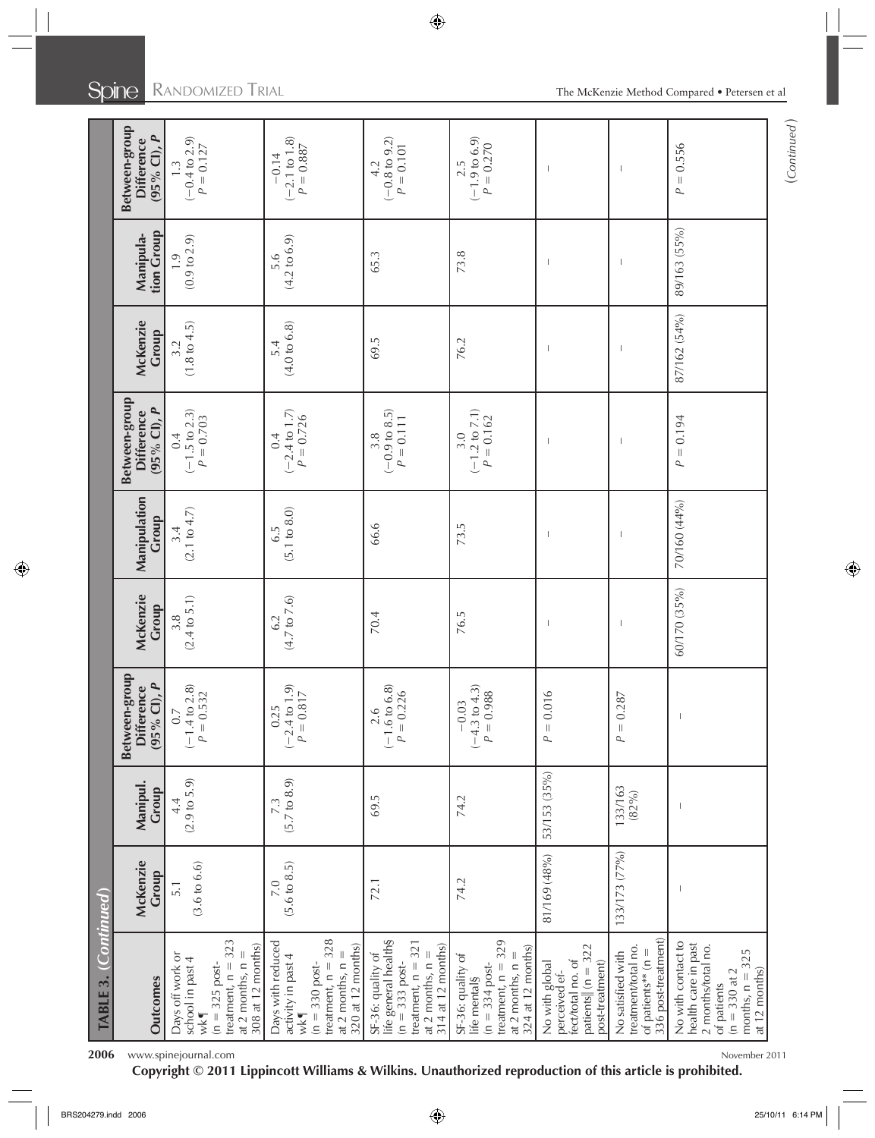| TABLE 3. (Continued)                                                                                                                          |                                |                                |                                                                             |                                |                       |                                                       |                                |                                         |                                                       |
|-----------------------------------------------------------------------------------------------------------------------------------------------|--------------------------------|--------------------------------|-----------------------------------------------------------------------------|--------------------------------|-----------------------|-------------------------------------------------------|--------------------------------|-----------------------------------------|-------------------------------------------------------|
| Outcomes                                                                                                                                      | McKenzie<br>Group              | Manipul.<br>Group              | Between-group<br>$(95\%$ CI), $P$<br><b>Difference</b>                      | McKenzie<br>Group              | Manipulation<br>Group | Between-group<br>$(95%$ Cl), $P$<br><b>Difference</b> | McKenzie<br>Group              | tion Group<br>Manipula-                 | Between-group<br>$(95%$ Cl), $P$<br><b>Difference</b> |
| treatment, $n = 323$<br>308 at 12 months)<br>at 2 months, $n =$<br>Days off work or<br>school in past 4<br>$(n = 325)$ post-<br>$w$ k¶        | $(3.6 \text{ to } 6.6)$<br>5.1 | (2.9 to 5.9)<br>4.4            | $(-1.4 \text{ to } 2.8)$<br>$P = 0.532$<br>$\ddot{\circ}$                   | $(2.4 \text{ to } 5.1)$<br>3.8 | (2.1 to 4.7)          | $(-1.5 \text{ to } 2.3)$<br>$P = 0.703$<br>0.4        | $(1.8 \text{ to } 4.5)$<br>3.2 | $(0.9 \text{ to } 2.9)$<br>$\ddot{0}$ . | $(-0.4 to 2.9)$<br>$P = 0.127$<br>$\ddot{1}$          |
| treatment, $n = 328$<br>Days with reduced<br>320 at 12 months)<br>at 2 months, $n =$<br>activity in past 4<br>$(n = 330)$ post-<br>$w$ k $\P$ | $(5.6 \text{ to } 8.5)$<br>7.0 | $(5.7 \text{ to } 8.9)$<br>7.3 | $(-2.4 \text{ to } 1.9)$<br>$P = 0.817$<br>$\overline{1}$<br>0.2            | $(4.7 \text{ to } 7.6)$<br>6.2 | (5.1 to 8.0)<br>6.5   | $(-2.4 \text{ to } 1.7)$<br>$P = 0.726$<br>0.4        | (4.0 to 6.8)<br>5.4            | $(4.2 \text{ to } 6.9)$<br>5.6          | $(-2.1 \text{ to } 1.8)$<br>$P = 0.887$<br>$-0.14$    |
| life general health§<br>treatment, $n = 321$<br>314 at 12 months)<br>at 2 months, $n =$<br>SF-36: quality of<br>$(n = 333 \text{ post-}$      | 72.1                           | 69.5                           | $\begin{array}{c} 2.6 \\ (-1.6 \text{ to } 6.8) \end{array}$<br>$P = 0.226$ | 70.4                           | 66.6                  | $(-0.9 \text{ to } 8.5)$<br>$P = 0.111$<br>3.8        | 69.5                           | 65.3                                    | $(-0.8 \text{ to } 9.2)$<br>$P = 0.101$<br>4.2        |
| treatment, $n = 329$<br>324 at 12 months)<br>at 2 months, $n =$<br>SF-36: quality of<br>life mental§<br>$(n = 334$ post-                      | 74.2                           | 74.2                           | $(-4.3 \text{ to } 4.3)$<br>$P=0.988$<br>$-0.03$                            | 76.5                           | 73.5                  | $(-1.2 \text{ to } 7.1)$<br>$P = 0.162$<br>3.0        | 76.2                           | 73.8                                    | $(-1.9 to 6.9)$<br>$P = 0.270$<br>2.5                 |
| patients $\ $ (n = 322<br>fecttotal no. of<br>post-treatment)<br>No with global<br>perceived ef-                                              | 81/169 (48%)                   | 53/153 (35%)                   | $P = 0.016$                                                                 |                                |                       |                                                       |                                |                                         |                                                       |
| 336 post-treatment)<br>treatment/total no.<br>of patients** ( $n =$<br>No satisfied with                                                      | 133/173 (77%)                  | 133/163<br>(82%)               | $P = 0.287$                                                                 |                                |                       |                                                       |                                |                                         |                                                       |
| No with contact to<br>health care in past<br>2 months/total no.<br>months, $n = 325$<br>at 12 months)<br>$(n = 330$ at 2<br>of patients       |                                |                                |                                                                             | 60/170 (35%)                   | 70/160 (44%)          | $P = 0.194$                                           | 87/162 (54%)                   | 89/163 (55%)                            | $P = 0.556$                                           |

2006 www.spinejournal.com November 2011

**Copyright © 2011 Lippincott Williams & Wilkins. Unauthorized reproduction of this article is prohibited.**

(*Continued* )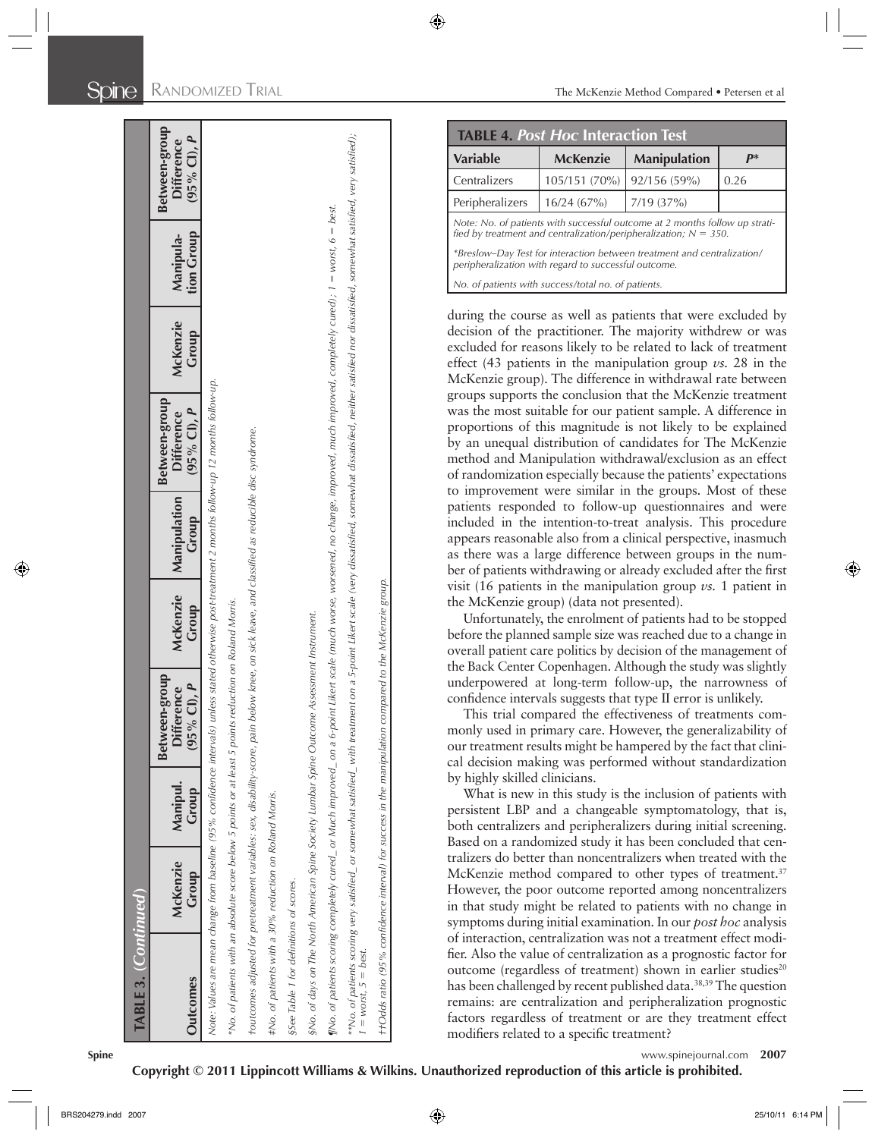| $\overline{a}$<br><b>Difference</b><br>$(95\%$ Cl),                                                                                                                                                               |                                 | <b>TABLE 4. Post Hoc Interaction Test</b>            |                                                                                                                                                                                                                                                                                                                                                                                                                            |     |
|-------------------------------------------------------------------------------------------------------------------------------------------------------------------------------------------------------------------|---------------------------------|------------------------------------------------------|----------------------------------------------------------------------------------------------------------------------------------------------------------------------------------------------------------------------------------------------------------------------------------------------------------------------------------------------------------------------------------------------------------------------------|-----|
|                                                                                                                                                                                                                   | <b>Variable</b>                 | <b>McKenzie</b>                                      | <b>Manipulation</b>                                                                                                                                                                                                                                                                                                                                                                                                        |     |
|                                                                                                                                                                                                                   | Centralizers<br>Peripheralizers | 105/151 (70%)<br>16/24(67%)                          | 92/156 (59%)<br>7/19 (37%)                                                                                                                                                                                                                                                                                                                                                                                                 | 0.2 |
| on a 5-point Likert scale (very dissatisfied, somewhat dissatisfied, neither satisfied nor dissatisfied, somewhat satisfied, very satisfied);                                                                     |                                 |                                                      | Note: No. of patients with successful outcome at 2 months follow u                                                                                                                                                                                                                                                                                                                                                         |     |
| Mo. of patients scoring completely cured_or Much improved_on a 6-point Likert scale (much worse, worsened, no change, improved, much improved, completely cured); 1 = worst, 6 = best.                            |                                 |                                                      | fied by treatment and centralization/peripheralization; $N = 350$ .                                                                                                                                                                                                                                                                                                                                                        |     |
|                                                                                                                                                                                                                   |                                 | peripheralization with regard to successful outcome. | *Breslow-Day Test for interaction between treatment and centraliza                                                                                                                                                                                                                                                                                                                                                         |     |
|                                                                                                                                                                                                                   |                                 | No. of patients with success/total no. of patients.  |                                                                                                                                                                                                                                                                                                                                                                                                                            |     |
|                                                                                                                                                                                                                   |                                 |                                                      | during the course as well as patients that were excl<br>decision of the practitioner. The majority withdrew<br>excluded for reasons likely to be related to lack of tr<br>effect (43 patients in the manipulation group $\nu$ s. 2<br>McKenzie group). The difference in withdrawal rate                                                                                                                                   |     |
|                                                                                                                                                                                                                   |                                 |                                                      | groups supports the conclusion that the McKenzie tr<br>was the most suitable for our patient sample. A differ<br>proportions of this magnitude is not likely to be ex<br>by an unequal distribution of candidates for The M<br>method and Manipulation withdrawal/exclusion as a<br>of randomization especially because the patients' expe<br>to improvement were similar in the groups. Most                              |     |
|                                                                                                                                                                                                                   |                                 |                                                      | patients responded to follow-up questionnaires are<br>included in the intention-to-treat analysis. This pr<br>appears reasonable also from a clinical perspective, in<br>as there was a large difference between groups in tl<br>ber of patients withdrawing or already excluded after                                                                                                                                     |     |
|                                                                                                                                                                                                                   |                                 | the McKenzie group) (data not presented).            | visit (16 patients in the manipulation group $\nu$ s. 1 pa<br>Unfortunately, the enrolment of patients had to be<br>before the planned sample size was reached due to a cl<br>overall patient care politics by decision of the manage                                                                                                                                                                                      |     |
|                                                                                                                                                                                                                   |                                 |                                                      | the Back Center Copenhagen. Although the study was<br>underpowered at long-term follow-up, the narrow<br>confidence intervals suggests that type II error is unlik<br>This trial compared the effectiveness of treatmen<br>monly used in primary care. However, the generaliza<br>our treatment results might be hampered by the fact the                                                                                  |     |
|                                                                                                                                                                                                                   | by highly skilled clinicians.   |                                                      | cal decision making was performed without standar<br>What is new in this study is the inclusion of patie<br>persistent LBP and a changeable symptomatology,<br>both centralizers and peripheralizers during initial sc                                                                                                                                                                                                     |     |
|                                                                                                                                                                                                                   |                                 |                                                      | Based on a randomized study it has been concluded t<br>tralizers do better than noncentralizers when treated<br>McKenzie method compared to other types of trea<br>However, the poor outcome reported among noncen<br>in that study might be related to patients with no cl                                                                                                                                                |     |
| t+Odds ratio (95% confidence interval) for success in the manipulation compared to the McKenzie group.<br>**No. of patients scoring very satisfied_ or somewhat satisfied_ with treatment<br>1 = worst, 5 = best. |                                 |                                                      | symptoms during initial examination. In our post hoc<br>of interaction, centralization was not a treatment effe-<br>fier. Also the value of centralization as a prognostic fa<br>outcome (regardless of treatment) shown in earlier<br>has been challenged by recent published data. <sup>38,39</sup> The<br>remains: are centralization and peripheralization pro<br>factors regardless of treatment or are they treatmen |     |

|                                                                                                                                                    | <b>TABLE 4. Post Hoc Interaction Test</b> |                                                                         |                |  |  |
|----------------------------------------------------------------------------------------------------------------------------------------------------|-------------------------------------------|-------------------------------------------------------------------------|----------------|--|--|
| <b>Variable</b>                                                                                                                                    | <b>McKenzie</b>                           | <b>Manipulation</b>                                                     | $\mathbf{p}^*$ |  |  |
| Centralizers                                                                                                                                       | 105/151 (70%)                             | 92/156 (59%)                                                            | 0.26           |  |  |
| Peripheralizers                                                                                                                                    | 16/24(67%)                                | 7/19(37%)                                                               |                |  |  |
| Note: No. of patients with successful outcome at 2 months follow up strati-<br>fied by treatment and centralization/peripheralization; $N = 350$ . |                                           |                                                                         |                |  |  |
| peripheralization with regard to successful outcome.                                                                                               |                                           | *Breslow-Day Test for interaction between treatment and centralization/ |                |  |  |

during the course as well as patients that were excluded by decision of the practitioner. The majority withdrew or was excluded for reasons likely to be related to lack of treatment effect (43 patients in the manipulation group *vs.* 28 in the McKenzie group). The difference in withdrawal rate between groups supports the conclusion that the McKenzie treatment was the most suitable for our patient sample. A difference in proportions of this magnitude is not likely to be explained by an unequal distribution of candidates for The McKenzie method and Manipulation withdrawal/exclusion as an effect of randomization especially because the patients' expectations to improvement were similar in the groups. Most of these patients responded to follow-up questionnaires and were included in the intention-to-treat analysis. This procedure appears reasonable also from a clinical perspective, inasmuch as there was a large difference between groups in the number of patients withdrawing or already excluded after the first visit (16 patients in the manipulation group *vs.* 1 patient in the McKenzie group) (data not presented).

Unfortunately, the enrolment of patients had to be stopped before the planned sample size was reached due to a change in overall patient care politics by decision of the management of the Back Center Copenhagen. Although the study was slightly underpowered at long-term follow-up, the narrowness of confidence intervals suggests that type II error is unlikely.

This trial compared the effectiveness of treatments commonly used in primary care. However, the generalizability of our treatment results might be hampered by the fact that clinical decision making was performed without standardization by highly skilled clinicians.

What is new in this study is the inclusion of patients with persistent LBP and a changeable symptomatology, that is, both centralizers and peripheralizers during initial screening. Based on a randomized study it has been concluded that centralizers do better than noncentralizers when treated with the McKenzie method compared to other types of treatment.<sup>37</sup> However, the poor outcome reported among noncentralizers in that study might be related to patients with no change in symptoms during initial examination. In our *post hoc* analysis of interaction, centralization was not a treatment effect modifier. Also the value of centralization as a prognostic factor for outcome (regardless of treatment) shown in earlier studies<sup>20</sup> has been challenged by recent published data.<sup>38,39</sup> The question remains: are centralization and peripheralization prognostic factors regardless of treatment or are they treatment effect modifiers related to a specific treatment?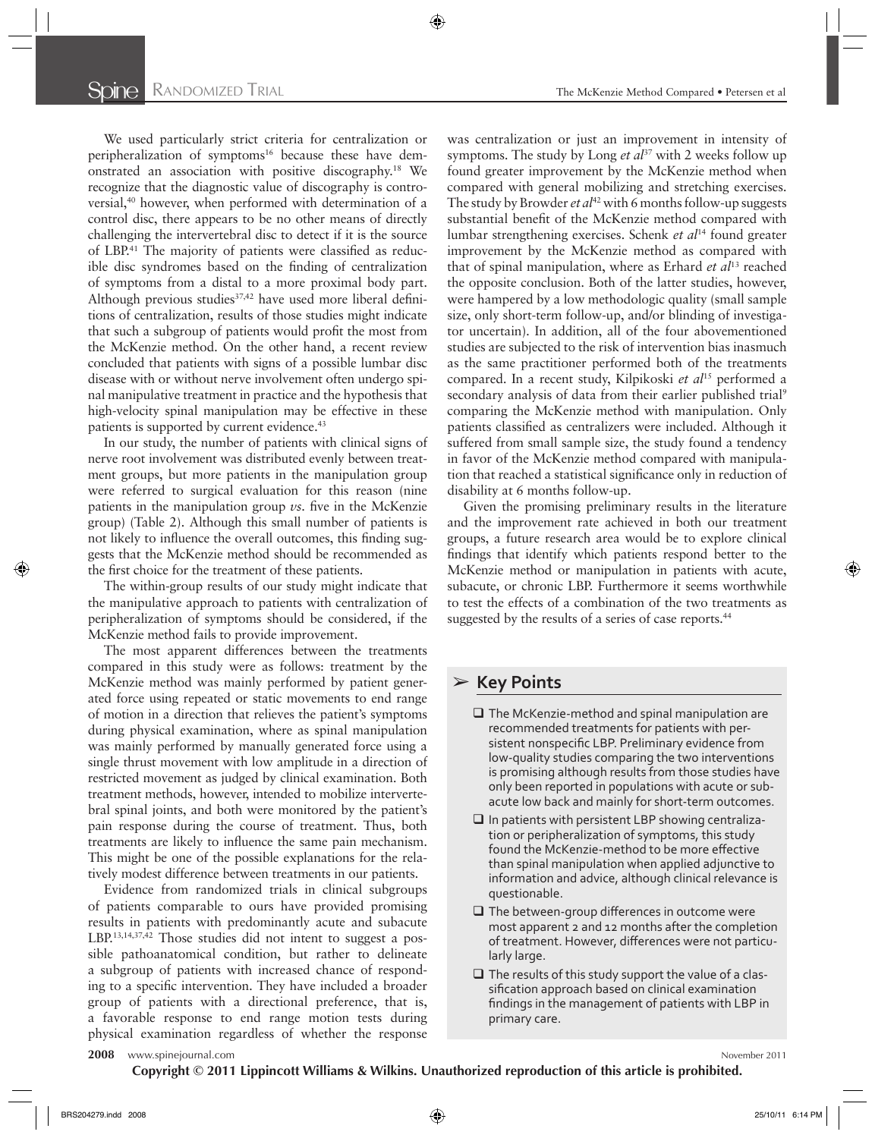We used particularly strict criteria for centralization or peripheralization of symptoms<sup>16</sup> because these have demonstrated an association with positive discography.<sup>18</sup> We recognize that the diagnostic value of discography is controversial, 40 however, when performed with determination of a control disc, there appears to be no other means of directly challenging the intervertebral disc to detect if it is the source of LBP.<sup>41</sup> The majority of patients were classified as reducible disc syndromes based on the finding of centralization of symptoms from a distal to a more proximal body part. Although previous studies<sup>37,42</sup> have used more liberal definitions of centralization, results of those studies might indicate that such a subgroup of patients would profit the most from the McKenzie method. On the other hand, a recent review concluded that patients with signs of a possible lumbar disc disease with or without nerve involvement often undergo spinal manipulative treatment in practice and the hypothesis that high-velocity spinal manipulation may be effective in these patients is supported by current evidence.<sup>43</sup>

In our study, the number of patients with clinical signs of nerve root involvement was distributed evenly between treatment groups, but more patients in the manipulation group were referred to surgical evaluation for this reason (nine patients in the manipulation group  $\nu s$ . five in the McKenzie group) (Table 2). Although this small number of patients is not likely to influence the overall outcomes, this finding suggests that the McKenzie method should be recommended as the first choice for the treatment of these patients.

The within-group results of our study might indicate that the manipulative approach to patients with centralization of peripheralization of symptoms should be considered, if the McKenzie method fails to provide improvement.

The most apparent differences between the treatments compared in this study were as follows: treatment by the McKenzie method was mainly performed by patient generated force using repeated or static movements to end range of motion in a direction that relieves the patient's symptoms during physical examination, where as spinal manipulation was mainly performed by manually generated force using a single thrust movement with low amplitude in a direction of restricted movement as judged by clinical examination. Both treatment methods, however, intended to mobilize intervertebral spinal joints, and both were monitored by the patient's pain response during the course of treatment. Thus, both treatments are likely to influence the same pain mechanism. This might be one of the possible explanations for the relatively modest difference between treatments in our patients.

Evidence from randomized trials in clinical subgroups of patients comparable to ours have provided promising results in patients with predominantly acute and subacute LBP.<sup>13,14,37,42</sup> Those studies did not intent to suggest a possible pathoanatomical condition, but rather to delineate a subgroup of patients with increased chance of responding to a specific intervention. They have included a broader group of patients with a directional preference, that is, a favorable response to end range motion tests during physical examination regardless of whether the response was centralization or just an improvement in intensity of symptoms. The study by Long *et al*<sup>37</sup> with 2 weeks follow up found greater improvement by the McKenzie method when compared with general mobilizing and stretching exercises. The study by Browder *et al*<sup>42</sup> with 6 months follow-up suggests substantial benefit of the McKenzie method compared with lumbar strengthening exercises. Schenk *et al*14 found greater improvement by the McKenzie method as compared with that of spinal manipulation, where as Erhard *et al*13 reached the opposite conclusion. Both of the latter studies, however, were hampered by a low methodologic quality (small sample size, only short-term follow-up, and/or blinding of investigator uncertain). In addition, all of the four abovementioned studies are subjected to the risk of intervention bias inasmuch as the same practitioner performed both of the treatments compared. In a recent study, Kilpikoski *et al*15 performed a secondary analysis of data from their earlier published trial<sup>9</sup> comparing the McKenzie method with manipulation. Only patients classified as centralizers were included. Although it suffered from small sample size, the study found a tendency in favor of the McKenzie method compared with manipulation that reached a statistical significance only in reduction of disability at 6 months follow-up.

Given the promising preliminary results in the literature and the improvement rate achieved in both our treatment groups, a future research area would be to explore clinical findings that identify which patients respond better to the McKenzie method or manipulation in patients with acute, subacute, or chronic LBP. Furthermore it seems worthwhile to test the effects of a combination of the two treatments as suggested by the results of a series of case reports.<sup>44</sup>

# ➢ **Key Points**

- $\Box$  The McKenzie-method and spinal manipulation are recommended treatments for patients with persistent nonspecific LBP. Preliminary evidence from low-quality studies comparing the two interventions is promising although results from those studies have only been reported in populations with acute or subacute low back and mainly for short-term outcomes.
- $\square$  In patients with persistent LBP showing centralization or peripheralization of symptoms, this study found the McKenzie-method to be more effective than spinal manipulation when applied adjunctive to information and advice, although clinical relevance is questionable.
- $\Box$  The between-group differences in outcome were most apparent 2 and 12 months after the completion of treatment. However, differences were not particularly large.
- $\Box$  The results of this study support the value of a classification approach based on clinical examination findings in the management of patients with LBP in primary care.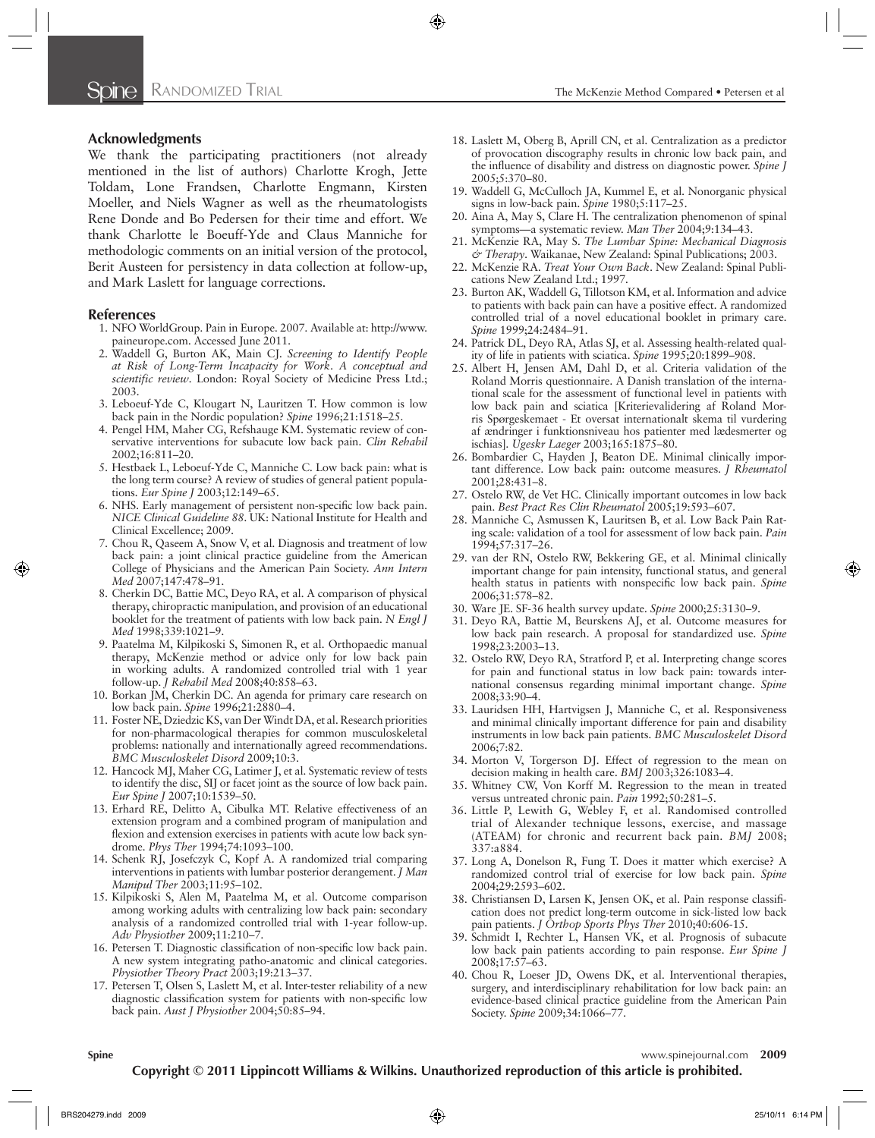### **Acknowledgments**

We thank the participating practitioners (not already mentioned in the list of authors) Charlotte Krogh, Jette Toldam, Lone Frandsen, Charlotte Engmann, Kirsten Moeller, and Niels Wagner as well as the rheumatologists Rene Donde and Bo Pedersen for their time and effort. We thank Charlotte le Boeuff-Yde and Claus Manniche for methodologic comments on an initial version of the protocol, Berit Austeen for persistency in data collection at follow-up, and Mark Laslett for language corrections.

#### **References**

- 1. NFO WorldGroup. Pain in Europe. 2007. Available at: http://www. paineurope.com.Accessed June 2011.
- 2. Waddell G, Burton AK, Main CJ. Screening to Identify People *at Risk of Long-Term Incapacity for Work*. *A conceptual and*  scientific review. London: Royal Society of Medicine Press Ltd.; 2003.
- 3. Leboeuf-Yde C, Klougart N, Lauritzen T. How common is low back pain in the Nordic population? Spine 1996;21:1518-25.
- 4. Pengel HM, Maher CG, Refshauge KM. Systematic review of conservative interventions for subacute low back pain . *Clin Rehabil*  $2002:16:811 - 20.$
- 5. Hestbaek L, Leboeuf-Yde C, Manniche C. Low back pain: what is the long term course? A review of studies of general patient populations. *Eur Spine J* 2003;12:149-65.
- 6. NHS. Early management of persistent non-specific low back pain. *NICE Clinical Guideline 88.* UK: National Institute for Health and Clinical Excellence; 2009.
- 7. Chou R, Qaseem A, Snow V, et al. Diagnosis and treatment of low back pain: a joint clinical practice guideline from the American College of Physicians and the American Pain Society . *Ann Intern Med* 2007 ; 147 : 478 – 91 .
- 8. Cherkin DC, Battie MC, Deyo RA, et al. A comparison of physical therapy, chiropractic manipulation, and provision of an educational booklet for the treatment of patients with low back pain . *N Engl J Med* 1998;339:1021-9.
- 9. Paatelma M, Kilpikoski S, Simonen R, et al. Orthopaedic manual therapy, McKenzie method or advice only for low back pain in working adults. A randomized controlled trial with 1 year follow-up. *J Rehabil Med* 2008;40:858-63.
- 10. Borkan JM, Cherkin DC. An agenda for primary care research on low back pain. Spine 1996;21:2880-4.
- 11. Foster NE, Dziedzic KS, van Der Windt DA, et al. Research priorities for non-pharmacological therapies for common musculoskeletal problems: nationally and internationally agreed recommendations . *BMC Musculoskelet Disord* 2009;10:3.
- 12. Hancock MJ, Maher CG, Latimer J, et al. Systematic review of tests to identify the disc, SIJ or facet joint as the source of low back pain . Eur Spine J 2007;10:1539-50.
- 13. Erhard RE, Delitto A, Cibulka MT. Relative effectiveness of an extension program and a combined program of manipulation and flexion and extension exercises in patients with acute low back syndrome. *Phys Ther* 1994;74:1093-100.
- 14. Schenk RJ, Josefczyk C, Kopf A. A randomized trial comparing interventions in patients with lumbar posterior derangement . *J Man Manipul Ther* 2003;11:95-102.
- 15. Kilpikoski S, Alen M, Paatelma M, et al. Outcome comparison among working adults with centralizing low back pain: secondary analysis of a randomized controlled trial with 1-year follow-up. *Adv Physiother* 2009;11:210–7.
- 16. Petersen T. Diagnostic classification of non-specific low back pain. A new system integrating patho-anatomic and clinical categories . *Physiother Theory Pract* 2003;19:213–37.
- 17. Petersen T, Olsen S, Laslett M, et al. Inter-tester reliability of a new diagnostic classification system for patients with non-specific low back pain. *Aust J Physiother* 2004;50:85-94.
- 18. Laslett M, Oberg B, Aprill CN, et al. Centralization as a predictor of provocation discography results in chronic low back pain, and the influence of disability and distress on diagnostic power. Spine *J* 2005 ; 5 : 370 – 80 .
- 19. Waddell G, McCulloch JA, Kummel E, et al. Nonorganic physical signs in low-back pain. *Spine* 1980;5:117-25.
- 20. Aina A, May S, Clare H. The centralization phenomenon of spinal symptoms—a systematic review. *Man Ther* 2004;9:134-43.
- 21. McKenzie RA, May S. The Lumbar Spine: Mechanical Diagnosis  $\acute{\sigma}$  Therapy. Waikanae, New Zealand: Spinal Publications; 2003.
- 22. McKenzie RA. *Treat Your Own Back*. New Zealand: Spinal Publications New Zealand Ltd.; 1997.
- 23. Burton AK, Waddell G, Tillotson KM, et al. Information and advice to patients with back pain can have a positive effect. A randomized controlled trial of a novel educational booklet in primary care. Spine 1999;24:2484-91.
- 24. Patrick DL, Deyo RA, Atlas SJ, et al. Assessing health-related quality of life in patients with sciatica. *Spine* 1995;20:1899-908.
- 25. Albert H, Jensen AM, Dahl D, et al. Criteria validation of the Roland Morris questionnaire. A Danish translation of the international scale for the assessment of functional level in patients with low back pain and sciatica [Kriterievalidering af Roland Morris Spørgeskemaet - Et oversat internationalt skema til vurdering af ændringer i funktionsniveau hos patienter med lædesmerter og ischias]. *Ugeskr Laeger* 2003;165:1875-80.
- 26. Bombardier C, Hayden J, Beaton DE. Minimal clinically important difference. Low back pain: outcome measures . *J Rheumatol* 2001;28:431-8.
- 27. Ostelo RW, de Vet HC. Clinically important outcomes in low back pain. Best Pract Res Clin Rheumatol 2005;19:593-607.
- 28. Manniche C, Asmussen K, Lauritsen B, et al. Low Back Pain Rating scale: validation of a tool for assessment of low back pain . *Pain* 1994;57:317-26.
- 29. van der RN, Ostelo RW, Bekkering GE, et al. Minimal clinically important change for pain intensity, functional status, and general health status in patients with nonspecific low back pain. Spine 2006 ; 31 : 578 – 82 .
- 30. Ware JE. SF-36 health survey update. Spine 2000;25:3130-9.
- 31. Deyo RA, Battie M, Beurskens AJ, et al. Outcome measures for low back pain research. A proposal for standardized use . *Spine* 1998;23:2003-13.
- 32. Ostelo RW, Deyo RA, Stratford P, et al. Interpreting change scores for pain and functional status in low back pain: towards international consensus regarding minimal important change. Spine 2008;33:90-4.
- 33. Lauridsen HH, Hartvigsen J, Manniche C, et al. Responsiveness and minimal clinically important difference for pain and disability instruments in low back pain patients . *BMC Musculoskelet Disord* 2006;7:82
- 34. Morton V, Torgerson DJ. Effect of regression to the mean on decision making in health care. *BMJ* 2003;326:1083-4.
- 35. Whitney CW, Von Korff M. Regression to the mean in treated versus untreated chronic pain. *Pain* 1992;50:281-5.
- 36. Little P, Lewith G, Webley F, et al. Randomised controlled trial of Alexander technique lessons, exercise, and massage (ATEAM) for chronic and recurrent back pain. *BMJ* 2008; 337 : a884 .
- 37. Long A, Donelson R, Fung T. Does it matter which exercise? A randomized control trial of exercise for low back pain . *Spine* 2004;29:2593-602.
- 38. Christiansen D, Larsen K, Jensen OK, et al. Pain response classification does not predict long-term outcome in sick-listed low back pain patients. *J Orthop Sports Phys Ther* 2010;40:606-15.
- 39. Schmidt I, Rechter L, Hansen VK, et al. Prognosis of subacute low back pain patients according to pain response. *Eur Spine J* 2008;17:57-63.
- 40. Chou R, Loeser JD, Owens DK, et al. Interventional therapies, surgery, and interdisciplinary rehabilitation for low back pain: an evidence-based clinical practice guideline from the American Pain Society. Spine 2009;34:1066-77.